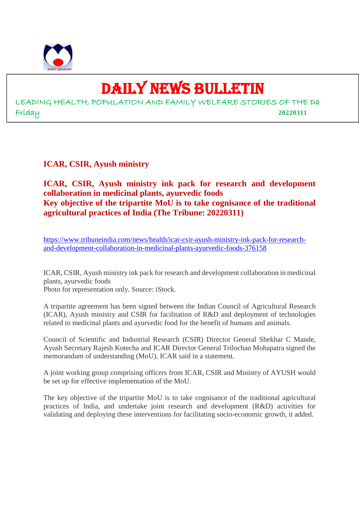

# DAILY NEWS BULLETIN

LEADING HEALTH, POPULATION AND FAMILY WELFARE STORIES OF THE Da Friday **20220311**

**ICAR, CSIR, Ayush ministry**

### **ICAR, CSIR, Ayush ministry ink pack for research and development collaboration in medicinal plants, ayurvedic foods Key objective of the tripartite MoU is to take cognisance of the traditional agricultural practices of India (The Tribune: 20220311)**

https://www.tribuneindia.com/news/health/icar-csir-ayush-ministry-ink-pack-for-researchand-development-collaboration-in-medicinal-plants-ayurvedic-foods-376158

ICAR, CSIR, Ayush ministry ink pack for research and development collaboration in medicinal plants, ayurvedic foods

Photo for representation only. Source: iStock.

A tripartite agreement has been signed between the Indian Council of Agricultural Research (ICAR), Ayush ministry and CSIR for facilitation of R&D and deployment of technologies related to medicinal plants and ayurvedic food for the benefit of humans and animals.

Council of Scientific and Industrial Research (CSIR) Director General Shekhar C Mande, Ayush Secretary Rajesh Kotecha and ICAR Director General Trilochan Mohapatra signed the memorandum of understanding (MoU), ICAR said in a statement.

A joint working group comprising officers from ICAR, CSIR and Ministry of AYUSH would be set up for effective implementation of the MoU.

The key objective of the tripartite MoU is to take cognisance of the traditional agricultural practices of India, and undertake joint research and development (R&D) activities for validating and deploying these interventions for facilitating socio-economic growth, it added.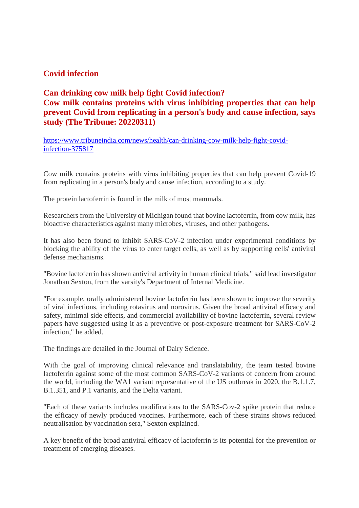#### **Covid infection**

# **Can drinking cow milk help fight Covid infection? Cow milk contains proteins with virus inhibiting properties that can help prevent Covid from replicating in a person's body and cause infection, says study (The Tribune: 20220311)**

https://www.tribuneindia.com/news/health/can-drinking-cow-milk-help-fight-covidinfection-375817

Cow milk contains proteins with virus inhibiting properties that can help prevent Covid-19 from replicating in a person's body and cause infection, according to a study.

The protein lactoferrin is found in the milk of most mammals.

Researchers from the University of Michigan found that bovine lactoferrin, from cow milk, has bioactive characteristics against many microbes, viruses, and other pathogens.

It has also been found to inhibit SARS-CoV-2 infection under experimental conditions by blocking the ability of the virus to enter target cells, as well as by supporting cells' antiviral defense mechanisms.

"Bovine lactoferrin has shown antiviral activity in human clinical trials," said lead investigator Jonathan Sexton, from the varsity's Department of Internal Medicine.

"For example, orally administered bovine lactoferrin has been shown to improve the severity of viral infections, including rotavirus and norovirus. Given the broad antiviral efficacy and safety, minimal side effects, and commercial availability of bovine lactoferrin, several review papers have suggested using it as a preventive or post-exposure treatment for SARS-CoV-2 infection," he added.

The findings are detailed in the Journal of Dairy Science.

With the goal of improving clinical relevance and translatability, the team tested bovine lactoferrin against some of the most common SARS-CoV-2 variants of concern from around the world, including the WA1 variant representative of the US outbreak in 2020, the B.1.1.7, B.1.351, and P.1 variants, and the Delta variant.

"Each of these variants includes modifications to the SARS-Cov-2 spike protein that reduce the efficacy of newly produced vaccines. Furthermore, each of these strains shows reduced neutralisation by vaccination sera," Sexton explained.

A key benefit of the broad antiviral efficacy of lactoferrin is its potential for the prevention or treatment of emerging diseases.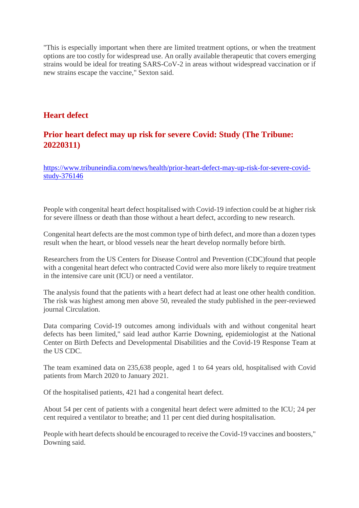"This is especially important when there are limited treatment options, or when the treatment options are too costly for widespread use. An orally available therapeutic that covers emerging strains would be ideal for treating SARS-CoV-2 in areas without widespread vaccination or if new strains escape the vaccine," Sexton said.

#### **Heart defect**

# **Prior heart defect may up risk for severe Covid: Study (The Tribune: 20220311)**

https://www.tribuneindia.com/news/health/prior-heart-defect-may-up-risk-for-severe-covidstudy-376146

People with congenital heart defect hospitalised with Covid-19 infection could be at higher risk for severe illness or death than those without a heart defect, according to new research.

Congenital heart defects are the most common type of birth defect, and more than a dozen types result when the heart, or blood vessels near the heart develop normally before birth.

Researchers from the US Centers for Disease Control and Prevention (CDC)found that people with a congenital heart defect who contracted Covid were also more likely to require treatment in the intensive care unit (ICU) or need a ventilator.

The analysis found that the patients with a heart defect had at least one other health condition. The risk was highest among men above 50, revealed the study published in the peer-reviewed journal Circulation.

Data comparing Covid-19 outcomes among individuals with and without congenital heart defects has been limited," said lead author Karrie Downing, epidemiologist at the National Center on Birth Defects and Developmental Disabilities and the Covid-19 Response Team at the US CDC.

The team examined data on 235,638 people, aged 1 to 64 years old, hospitalised with Covid patients from March 2020 to January 2021.

Of the hospitalised patients, 421 had a congenital heart defect.

About 54 per cent of patients with a congenital heart defect were admitted to the ICU; 24 per cent required a ventilator to breathe; and 11 per cent died during hospitalisation.

People with heart defects should be encouraged to receive the Covid-19 vaccines and boosters," Downing said.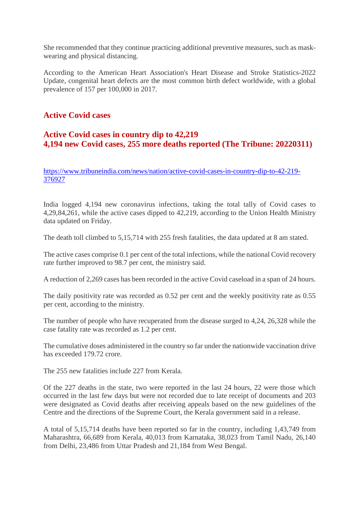She recommended that they continue practicing additional preventive measures, such as maskwearing and physical distancing.

According to the American Heart Association's Heart Disease and Stroke Statistics-2022 Update, congenital heart defects are the most common birth defect worldwide, with a global prevalence of 157 per 100,000 in 2017.

#### **Active Covid cases**

# **Active Covid cases in country dip to 42,219 4,194 new Covid cases, 255 more deaths reported (The Tribune: 20220311)**

https://www.tribuneindia.com/news/nation/active-covid-cases-in-country-dip-to-42-219- 376927

India logged 4,194 new coronavirus infections, taking the total tally of Covid cases to 4,29,84,261, while the active cases dipped to 42,219, according to the Union Health Ministry data updated on Friday.

The death toll climbed to 5,15,714 with 255 fresh fatalities, the data updated at 8 am stated.

The active cases comprise 0.1 per cent of the total infections, while the national Covid recovery rate further improved to 98.7 per cent, the ministry said.

A reduction of 2,269 cases has been recorded in the active Covid caseload in a span of 24 hours.

The daily positivity rate was recorded as 0.52 per cent and the weekly positivity rate as 0.55 per cent, according to the ministry.

The number of people who have recuperated from the disease surged to 4,24, 26,328 while the case fatality rate was recorded as 1.2 per cent.

The cumulative doses administered in the country so far under the nationwide vaccination drive has exceeded 179.72 crore.

The 255 new fatalities include 227 from Kerala.

Of the 227 deaths in the state, two were reported in the last 24 hours, 22 were those which occurred in the last few days but were not recorded due to late receipt of documents and 203 were designated as Covid deaths after receiving appeals based on the new guidelines of the Centre and the directions of the Supreme Court, the Kerala government said in a release.

A total of 5,15,714 deaths have been reported so far in the country, including 1,43,749 from Maharashtra, 66,689 from Kerala, 40,013 from Karnataka, 38,023 from Tamil Nadu, 26,140 from Delhi, 23,486 from Uttar Pradesh and 21,184 from West Bengal.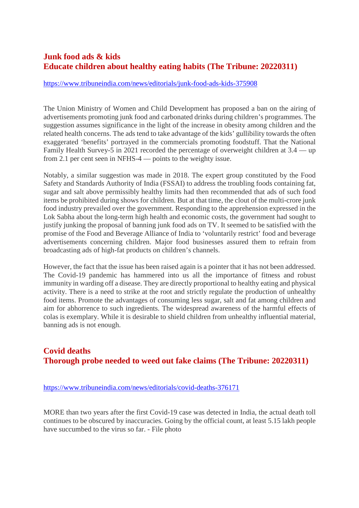# **Junk food ads & kids Educate children about healthy eating habits (The Tribune: 20220311)**

#### https://www.tribuneindia.com/news/editorials/junk-food-ads-kids-375908

The Union Ministry of Women and Child Development has proposed a ban on the airing of advertisements promoting junk food and carbonated drinks during children's programmes. The suggestion assumes significance in the light of the increase in obesity among children and the related health concerns. The ads tend to take advantage of the kids' gullibility towards the often exaggerated 'benefits' portrayed in the commercials promoting foodstuff. That the National Family Health Survey-5 in 2021 recorded the percentage of overweight children at 3.4 — up from 2.1 per cent seen in NFHS-4 — points to the weighty issue.

Notably, a similar suggestion was made in 2018. The expert group constituted by the Food Safety and Standards Authority of India (FSSAI) to address the troubling foods containing fat, sugar and salt above permissibly healthy limits had then recommended that ads of such food items be prohibited during shows for children. But at that time, the clout of the multi-crore junk food industry prevailed over the government. Responding to the apprehension expressed in the Lok Sabha about the long-term high health and economic costs, the government had sought to justify junking the proposal of banning junk food ads on TV. It seemed to be satisfied with the promise of the Food and Beverage Alliance of India to 'voluntarily restrict' food and beverage advertisements concerning children. Major food businesses assured them to refrain from broadcasting ads of high-fat products on children's channels.

However, the fact that the issue has been raised again is a pointer that it has not been addressed. The Covid-19 pandemic has hammered into us all the importance of fitness and robust immunity in warding off a disease. They are directly proportional to healthy eating and physical activity. There is a need to strike at the root and strictly regulate the production of unhealthy food items. Promote the advantages of consuming less sugar, salt and fat among children and aim for abhorrence to such ingredients. The widespread awareness of the harmful effects of colas is exemplary. While it is desirable to shield children from unhealthy influential material, banning ads is not enough.

#### **Covid deaths Thorough probe needed to weed out fake claims (The Tribune: 20220311)**

#### https://www.tribuneindia.com/news/editorials/covid-deaths-376171

MORE than two years after the first Covid-19 case was detected in India, the actual death toll continues to be obscured by inaccuracies. Going by the official count, at least 5.15 lakh people have succumbed to the virus so far. - File photo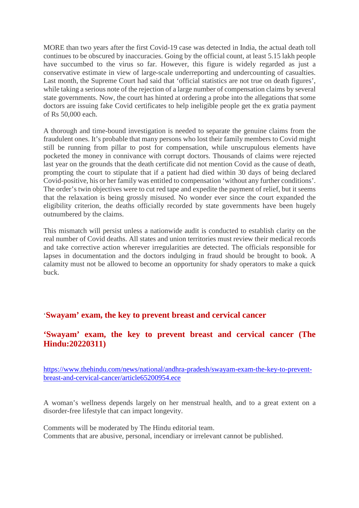MORE than two years after the first Covid-19 case was detected in India, the actual death toll continues to be obscured by inaccuracies. Going by the official count, at least 5.15 lakh people have succumbed to the virus so far. However, this figure is widely regarded as just a conservative estimate in view of large-scale underreporting and undercounting of casualties. Last month, the Supreme Court had said that 'official statistics are not true on death figures', while taking a serious note of the rejection of a large number of compensation claims by several state governments. Now, the court has hinted at ordering a probe into the allegations that some doctors are issuing fake Covid certificates to help ineligible people get the ex gratia payment of Rs 50,000 each.

A thorough and time-bound investigation is needed to separate the genuine claims from the fraudulent ones. It's probable that many persons who lost their family members to Covid might still be running from pillar to post for compensation, while unscrupulous elements have pocketed the money in connivance with corrupt doctors. Thousands of claims were rejected last year on the grounds that the death certificate did not mention Covid as the cause of death, prompting the court to stipulate that if a patient had died within 30 days of being declared Covid-positive, his or her family was entitled to compensation 'without any further conditions'. The order's twin objectives were to cut red tape and expedite the payment of relief, but it seems that the relaxation is being grossly misused. No wonder ever since the court expanded the eligibility criterion, the deaths officially recorded by state governments have been hugely outnumbered by the claims.

This mismatch will persist unless a nationwide audit is conducted to establish clarity on the real number of Covid deaths. All states and union territories must review their medical records and take corrective action wherever irregularities are detected. The officials responsible for lapses in documentation and the doctors indulging in fraud should be brought to book. A calamity must not be allowed to become an opportunity for shady operators to make a quick buck.

#### '**Swayam' exam, the key to prevent breast and cervical cancer**

#### **'Swayam' exam, the key to prevent breast and cervical cancer (The Hindu:20220311)**

https://www.thehindu.com/news/national/andhra-pradesh/swayam-exam-the-key-to-preventbreast-and-cervical-cancer/article65200954.ece

A woman's wellness depends largely on her menstrual health, and to a great extent on a disorder-free lifestyle that can impact longevity.

Comments will be moderated by The Hindu editorial team. Comments that are abusive, personal, incendiary or irrelevant cannot be published.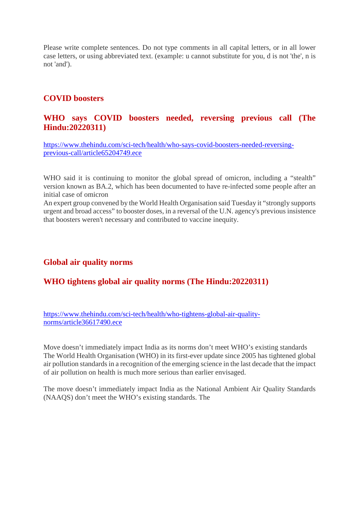Please write complete sentences. Do not type comments in all capital letters, or in all lower case letters, or using abbreviated text. (example: u cannot substitute for you, d is not 'the', n is not 'and').

#### **COVID boosters**

#### **WHO says COVID boosters needed, reversing previous call (The Hindu:20220311)**

https://www.thehindu.com/sci-tech/health/who-says-covid-boosters-needed-reversingprevious-call/article65204749.ece

WHO said it is continuing to monitor the global spread of omicron, including a "stealth" version known as BA.2, which has been documented to have re-infected some people after an initial case of omicron

An expert group convened by the World Health Organisation said Tuesday it "strongly supports urgent and broad access" to booster doses, in a reversal of the U.N. agency's previous insistence that boosters weren't necessary and contributed to vaccine inequity.

#### **Global air quality norms**

#### **WHO tightens global air quality norms (The Hindu:20220311)**

https://www.thehindu.com/sci-tech/health/who-tightens-global-air-qualitynorms/article36617490.ece

Move doesn't immediately impact India as its norms don't meet WHO's existing standards The World Health Organisation (WHO) in its first-ever update since 2005 has tightened global air pollution standards in a recognition of the emerging science in the last decade that the impact of air pollution on health is much more serious than earlier envisaged.

The move doesn't immediately impact India as the National Ambient Air Quality Standards (NAAQS) don't meet the WHO's existing standards. The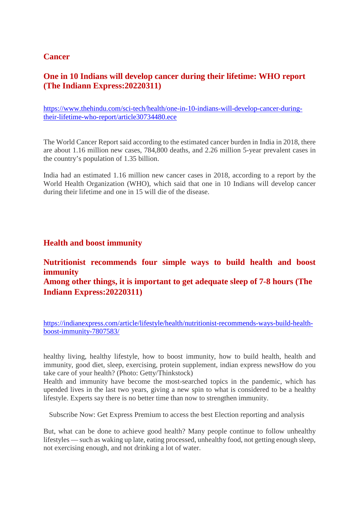#### **Cancer**

### **One in 10 Indians will develop cancer during their lifetime: WHO report (The Indiann Express:20220311)**

https://www.thehindu.com/sci-tech/health/one-in-10-indians-will-develop-cancer-duringtheir-lifetime-who-report/article30734480.ece

The World Cancer Report said according to the estimated cancer burden in India in 2018, there are about 1.16 million new cases, 784,800 deaths, and 2.26 million 5-year prevalent cases in the country's population of 1.35 billion.

India had an estimated 1.16 million new cancer cases in 2018, according to a report by the World Health Organization (WHO), which said that one in 10 Indians will develop cancer during their lifetime and one in 15 will die of the disease.

#### **Health and boost immunity**

# **Nutritionist recommends four simple ways to build health and boost immunity**

**Among other things, it is important to get adequate sleep of 7-8 hours (The Indiann Express:20220311)**

https://indianexpress.com/article/lifestyle/health/nutritionist-recommends-ways-build-healthboost-immunity-7807583/

healthy living, healthy lifestyle, how to boost immunity, how to build health, health and immunity, good diet, sleep, exercising, protein supplement, indian express newsHow do you take care of your health? (Photo: Getty/Thinkstock)

Health and immunity have become the most-searched topics in the pandemic, which has upended lives in the last two years, giving a new spin to what is considered to be a healthy lifestyle. Experts say there is no better time than now to strengthen immunity.

Subscribe Now: Get Express Premium to access the best Election reporting and analysis

But, what can be done to achieve good health? Many people continue to follow unhealthy lifestyles — such as waking up late, eating processed, unhealthy food, not getting enough sleep, not exercising enough, and not drinking a lot of water.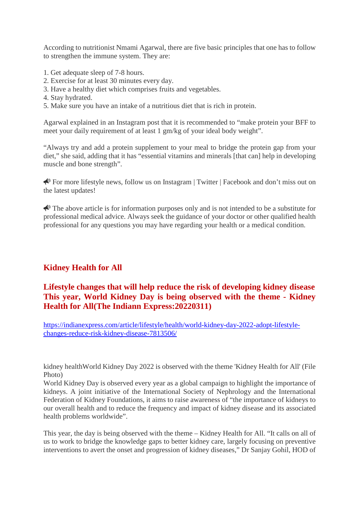According to nutritionist Nmami Agarwal, there are five basic principles that one has to follow to strengthen the immune system. They are:

- 1. Get adequate sleep of 7-8 hours.
- 2. Exercise for at least 30 minutes every day.
- 3. Have a healthy diet which comprises fruits and vegetables.
- 4. Stay hydrated.
- 5. Make sure you have an intake of a nutritious diet that is rich in protein.

Agarwal explained in an Instagram post that it is recommended to "make protein your BFF to meet your daily requirement of at least 1 gm/kg of your ideal body weight".

"Always try and add a protein supplement to your meal to bridge the protein gap from your diet," she said, adding that it has "essential vitamins and minerals [that can] help in developing muscle and bone strength".

 For more lifestyle news, follow us on Instagram | Twitter | Facebook and don't miss out on the latest updates!

 $\bigotimes$  The above article is for information purposes only and is not intended to be a substitute for professional medical advice. Always seek the guidance of your doctor or other qualified health professional for any questions you may have regarding your health or a medical condition.

# **Kidney Health for All**

#### **Lifestyle changes that will help reduce the risk of developing kidney disease This year, World Kidney Day is being observed with the theme - Kidney Health for All(The Indiann Express:20220311)**

https://indianexpress.com/article/lifestyle/health/world-kidney-day-2022-adopt-lifestylechanges-reduce-risk-kidney-disease-7813506/

kidney healthWorld Kidney Day 2022 is observed with the theme 'Kidney Health for All' (File Photo)

World Kidney Day is observed every year as a global campaign to highlight the importance of kidneys. A joint initiative of the International Society of Nephrology and the International Federation of Kidney Foundations, it aims to raise awareness of "the importance of kidneys to our overall health and to reduce the frequency and impact of kidney disease and its associated health problems worldwide".

This year, the day is being observed with the theme – Kidney Health for All. "It calls on all of us to work to bridge the knowledge gaps to better kidney care, largely focusing on preventive interventions to avert the onset and progression of kidney diseases," Dr Sanjay Gohil, HOD of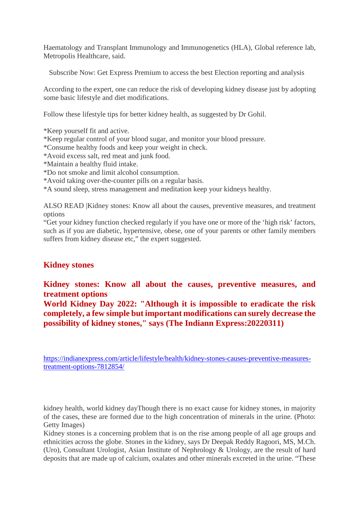Haematology and Transplant Immunology and Immunogenetics (HLA), Global reference lab, Metropolis Healthcare, said.

Subscribe Now: Get Express Premium to access the best Election reporting and analysis

According to the expert, one can reduce the risk of developing kidney disease just by adopting some basic lifestyle and diet modifications.

Follow these lifestyle tips for better kidney health, as suggested by Dr Gohil.

\*Keep yourself fit and active.

\*Keep regular control of your blood sugar, and monitor your blood pressure.

\*Consume healthy foods and keep your weight in check.

\*Avoid excess salt, red meat and junk food.

\*Maintain a healthy fluid intake.

\*Do not smoke and limit alcohol consumption.

\*Avoid taking over-the-counter pills on a regular basis.

\*A sound sleep, stress management and meditation keep your kidneys healthy.

ALSO READ |Kidney stones: Know all about the causes, preventive measures, and treatment options

"Get your kidney function checked regularly if you have one or more of the 'high risk' factors, such as if you are diabetic, hypertensive, obese, one of your parents or other family members suffers from kidney disease etc," the expert suggested.

#### **Kidney stones**

**Kidney stones: Know all about the causes, preventive measures, and treatment options**

**World Kidney Day 2022: "Although it is impossible to eradicate the risk completely, a few simple but important modifications can surely decrease the possibility of kidney stones," says (The Indiann Express:20220311)**

https://indianexpress.com/article/lifestyle/health/kidney-stones-causes-preventive-measurestreatment-options-7812854/

kidney health, world kidney dayThough there is no exact cause for kidney stones, in majority of the cases, these are formed due to the high concentration of minerals in the urine. (Photo: Getty Images)

Kidney stones is a concerning problem that is on the rise among people of all age groups and ethnicities across the globe. Stones in the kidney, says Dr Deepak Reddy Ragoori, MS, M.Ch. (Uro), Consultant Urologist, Asian Institute of Nephrology & Urology, are the result of hard deposits that are made up of calcium, oxalates and other minerals excreted in the urine. "These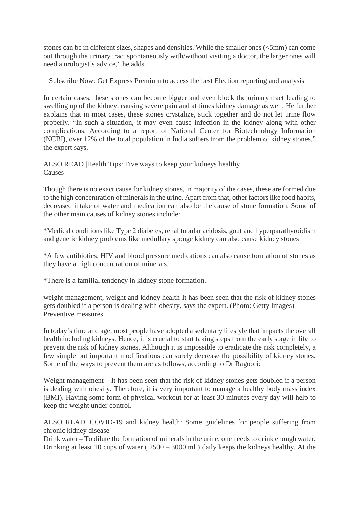stones can be in different sizes, shapes and densities. While the smaller ones (<5mm) can come out through the urinary tract spontaneously with/without visiting a doctor, the larger ones will need a urologist's advice," he adds.

Subscribe Now: Get Express Premium to access the best Election reporting and analysis

In certain cases, these stones can become bigger and even block the urinary tract leading to swelling up of the kidney, causing severe pain and at times kidney damage as well. He further explains that in most cases, these stones crystalize, stick together and do not let urine flow properly. "In such a situation, it may even cause infection in the kidney along with other complications. According to a report of National Center for Biotechnology Information (NCBI), over 12% of the total population in India suffers from the problem of kidney stones," the expert says.

ALSO READ |Health Tips: Five ways to keep your kidneys healthy Causes

Though there is no exact cause for kidney stones, in majority of the cases, these are formed due to the high concentration of minerals in the urine. Apart from that, other factors like food habits, decreased intake of water and medication can also be the cause of stone formation. Some of the other main causes of kidney stones include:

\*Medical conditions like Type 2 diabetes, renal tubular acidosis, gout and hyperparathyroidism and genetic kidney problems like medullary sponge kidney can also cause kidney stones

\*A few antibiotics, HIV and blood pressure medications can also cause formation of stones as they have a high concentration of minerals.

\*There is a familial tendency in kidney stone formation.

weight management, weight and kidney health It has been seen that the risk of kidney stones gets doubled if a person is dealing with obesity, says the expert. (Photo: Getty Images) Preventive measures

In today's time and age, most people have adopted a sedentary lifestyle that impacts the overall health including kidneys. Hence, it is crucial to start taking steps from the early stage in life to prevent the risk of kidney stones. Although it is impossible to eradicate the risk completely, a few simple but important modifications can surely decrease the possibility of kidney stones. Some of the ways to prevent them are as follows, according to Dr Ragoori:

Weight management – It has been seen that the risk of kidney stones gets doubled if a person is dealing with obesity. Therefore, it is very important to manage a healthy body mass index (BMI). Having some form of physical workout for at least 30 minutes every day will help to keep the weight under control.

ALSO READ |COVID-19 and kidney health: Some guidelines for people suffering from chronic kidney disease

Drink water – To dilute the formation of minerals in the urine, one needs to drink enough water. Drinking at least 10 cups of water ( 2500 – 3000 ml ) daily keeps the kidneys healthy. At the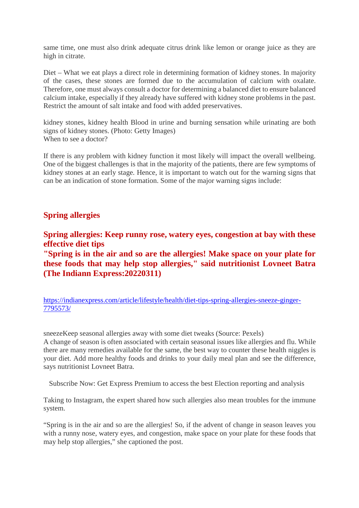same time, one must also drink adequate citrus drink like lemon or orange juice as they are high in citrate.

Diet – What we eat plays a direct role in determining formation of kidney stones. In majority of the cases, these stones are formed due to the accumulation of calcium with oxalate. Therefore, one must always consult a doctor for determining a balanced diet to ensure balanced calcium intake, especially if they already have suffered with kidney stone problems in the past. Restrict the amount of salt intake and food with added preservatives.

kidney stones, kidney health Blood in urine and burning sensation while urinating are both signs of kidney stones. (Photo: Getty Images) When to see a doctor?

If there is any problem with kidney function it most likely will impact the overall wellbeing. One of the biggest challenges is that in the majority of the patients, there are few symptoms of kidney stones at an early stage. Hence, it is important to watch out for the warning signs that can be an indication of stone formation. Some of the major warning signs include:

#### **Spring allergies**

**Spring allergies: Keep runny rose, watery eyes, congestion at bay with these effective diet tips**

**"Spring is in the air and so are the allergies! Make space on your plate for these foods that may help stop allergies," said nutritionist Lovneet Batra (The Indiann Express:20220311)**

https://indianexpress.com/article/lifestyle/health/diet-tips-spring-allergies-sneeze-ginger-7795573/

sneezeKeep seasonal allergies away with some diet tweaks (Source: Pexels) A change of season is often associated with certain seasonal issues like allergies and flu. While there are many remedies available for the same, the best way to counter these health niggles is your diet. Add more healthy foods and drinks to your daily meal plan and see the difference, says nutritionist Lovneet Batra.

Subscribe Now: Get Express Premium to access the best Election reporting and analysis

Taking to Instagram, the expert shared how such allergies also mean troubles for the immune system.

"Spring is in the air and so are the allergies! So, if the advent of change in season leaves you with a runny nose, watery eyes, and congestion, make space on your plate for these foods that may help stop allergies," she captioned the post.